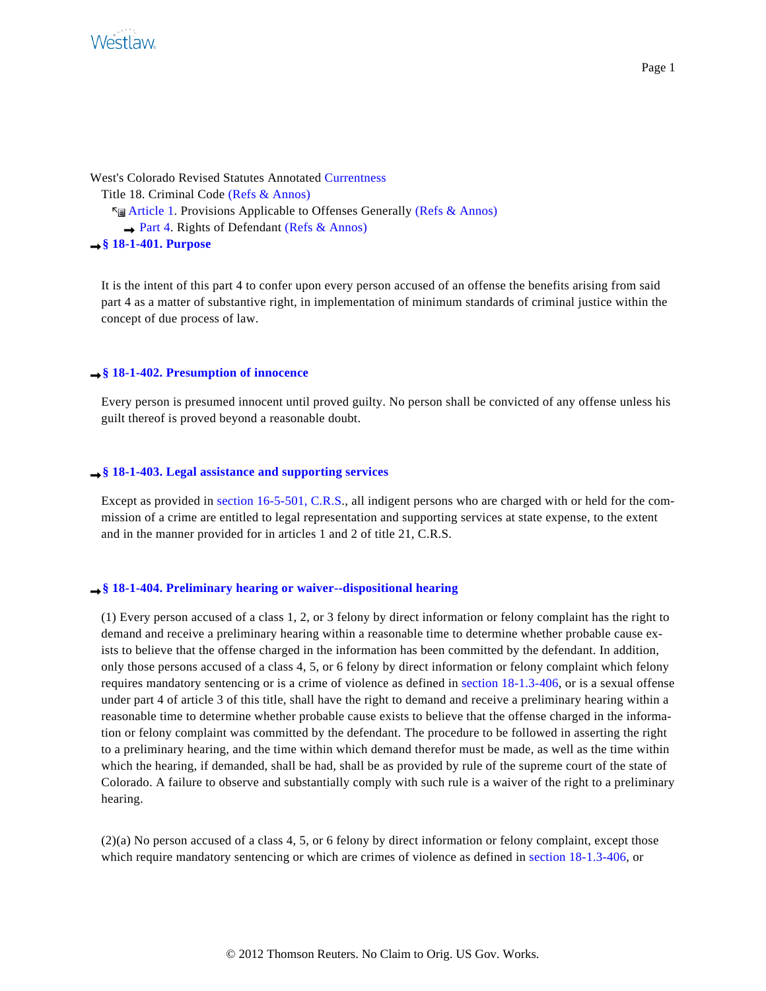

West's Colorado Revised Statutes Annotated [Currentness](#page-0-0) Title 18. Criminal Code [\(Refs & Annos\)](http://www.westlaw.com/Find/Default.wl?rs=dfa1.0&vr=2.0&DB=CO-ST-ANN&DocName=lk%28COSTT18R%29+lk%28COSTT18ART1R%29+lk%28COSTT18ART1PT4R%29&FindType=l) **Example 1. Provisions Applicable to Offenses Generally [\(Refs & Annos\)](http://www.westlaw.com/Find/Default.wl?rs=dfa1.0&vr=2.0&DB=CO-ST-ANN&DocName=lk%28COSTT18R%29+lk%28COSTT18ART1R%29+lk%28COSTT18ART1PT4R%29&FindType=l)**  $\rightarrow$  [Part 4](http://www.westlaw.com/Find/Default.wl?rs=dfa1.0&vr=2.0&DB=CO-ST-ANN&DocName=PRT%28%3E%0A%09%09%09%09%09%09%09%09003691224%29+%26+BEG-DATE%28%3C%3D%2F%2F%29+%26+END-DATE%28%3E%3D%2F%2F%29+%25+CI%28REFS+%28DISP+%2F2+TABLE%29+%28MISC+%2F2+TABLE%29%29&FindType=l&JH=+Part+4.+Rights+of+Defendant+&JL=2&JO=C.R.S.A.+s+18-1-401&SR=SB). Rights of Defendant [\(Refs & Annos\)](http://www.westlaw.com/Find/Default.wl?rs=dfa1.0&vr=2.0&DB=CO-ST-ANN&DocName=lk%28COSTT18R%29+lk%28COSTT18ART1R%29+lk%28COSTT18ART1PT4R%29&FindType=l) **[§ 18-1-401. Purpose](http://www.westlaw.com/Find/Default.wl?rs=dfa1.0&vr=2.0&DB=CO-ST-ANN&DocName=LK%28COSTS18-1-401%29&FindType=l)**

It is the intent of this part 4 to confer upon every person accused of an offense the benefits arising from said part 4 as a matter of substantive right, in implementation of minimum standards of criminal justice within the concept of due process of law.

### <span id="page-0-0"></span>**[§ 18-1-402. Presumption of innocence](http://www.westlaw.com/Find/Default.wl?rs=dfa1.0&vr=2.0&DB=CO-ST-ANN&DocName=LK%28COSTS18-1-402%29&FindType=l)**

Every person is presumed innocent until proved guilty. No person shall be convicted of any offense unless his guilt thereof is proved beyond a reasonable doubt.

#### **[§ 18-1-403. Legal assistance and supporting services](http://www.westlaw.com/Find/Default.wl?rs=dfa1.0&vr=2.0&DB=CO-ST-ANN&DocName=LK%28COSTS18-1-403%29&FindType=l)**

Except as provided in [section 16-5-501, C.R.S](http://www.westlaw.com/Find/Default.wl?rs=dfa1.0&vr=2.0&DB=1000517&DocName=COSTS16-5-501&FindType=L)., all indigent persons who are charged with or held for the commission of a crime are entitled to legal representation and supporting services at state expense, to the extent and in the manner provided for in articles 1 and 2 of title 21, C.R.S.

#### **[§ 18-1-404. Preliminary hearing or waiver--dispositional hearing](http://www.westlaw.com/Find/Default.wl?rs=dfa1.0&vr=2.0&DB=CO-ST-ANN&DocName=LK%28COSTS18-1-404%29&FindType=l)**

(1) Every person accused of a class 1, 2, or 3 felony by direct information or felony complaint has the right to demand and receive a preliminary hearing within a reasonable time to determine whether probable cause exists to believe that the offense charged in the information has been committed by the defendant. In addition, only those persons accused of a class 4, 5, or 6 felony by direct information or felony complaint which felony requires mandatory sentencing or is a crime of violence as defined in [section 18-1.3-406](http://www.westlaw.com/Find/Default.wl?rs=dfa1.0&vr=2.0&DB=1000517&DocName=COSTS18-1.3-406&FindType=L), or is a sexual offense under part 4 of article 3 of this title, shall have the right to demand and receive a preliminary hearing within a reasonable time to determine whether probable cause exists to believe that the offense charged in the information or felony complaint was committed by the defendant. The procedure to be followed in asserting the right to a preliminary hearing, and the time within which demand therefor must be made, as well as the time within which the hearing, if demanded, shall be had, shall be as provided by rule of the supreme court of the state of Colorado. A failure to observe and substantially comply with such rule is a waiver of the right to a preliminary hearing.

(2)(a) No person accused of a class 4, 5, or 6 felony by direct information or felony complaint, except those which require mandatory sentencing or which are crimes of violence as defined in [section 18-1.3-406](http://www.westlaw.com/Find/Default.wl?rs=dfa1.0&vr=2.0&DB=1000517&DocName=COSTS18-1.3-406&FindType=L), or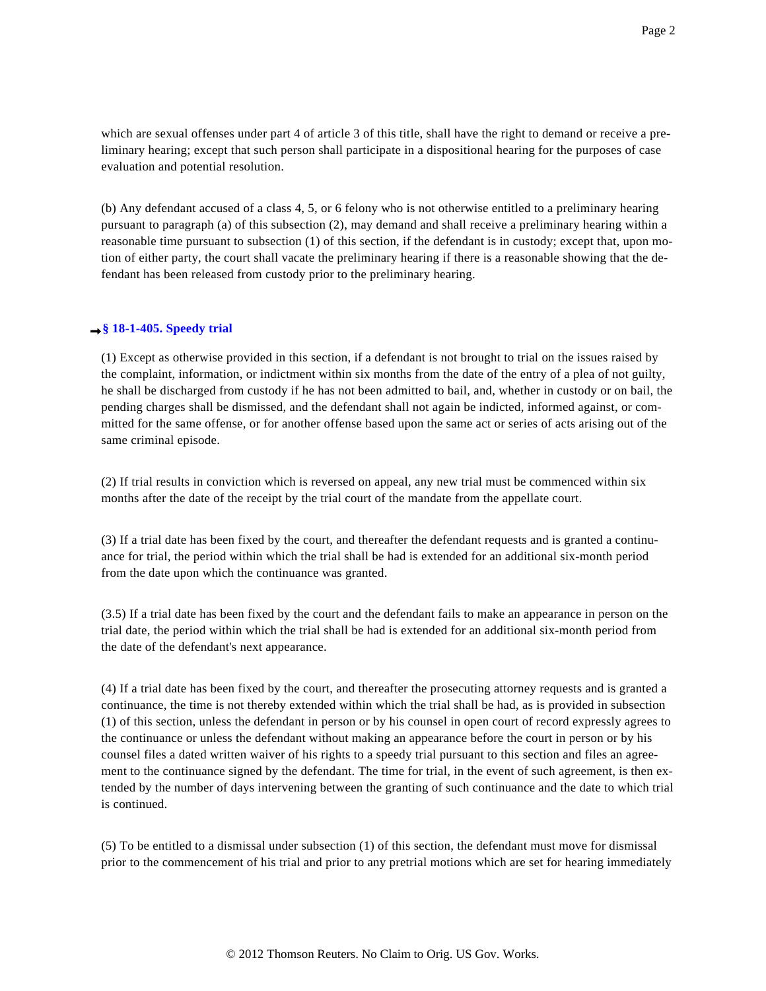which are sexual offenses under part 4 of article 3 of this title, shall have the right to demand or receive a preliminary hearing; except that such person shall participate in a dispositional hearing for the purposes of case evaluation and potential resolution.

(b) Any defendant accused of a class 4, 5, or 6 felony who is not otherwise entitled to a preliminary hearing pursuant to paragraph (a) of this subsection (2), may demand and shall receive a preliminary hearing within a reasonable time pursuant to subsection (1) of this section, if the defendant is in custody; except that, upon motion of either party, the court shall vacate the preliminary hearing if there is a reasonable showing that the defendant has been released from custody prior to the preliminary hearing.

## **[§ 18-1-405. Speedy tria](http://www.westlaw.com/Find/Default.wl?rs=dfa1.0&vr=2.0&DB=CO-ST-ANN&DocName=LK%28COSTS18-1-405%29&FindType=l)l**

(1) Except as otherwise provided in this section, if a defendant is not brought to trial on the issues raised by the complaint, information, or indictment within six months from the date of the entry of a plea of not guilty, he shall be discharged from custody if he has not been admitted to bail, and, whether in custody or on bail, the pending charges shall be dismissed, and the defendant shall not again be indicted, informed against, or committed for the same offense, or for another offense based upon the same act or series of acts arising out of the same criminal episode.

(2) If trial results in conviction which is reversed on appeal, any new trial must be commenced within six months after the date of the receipt by the trial court of the mandate from the appellate court.

(3) If a trial date has been fixed by the court, and thereafter the defendant requests and is granted a continuance for trial, the period within which the trial shall be had is extended for an additional six-month period from the date upon which the continuance was granted.

(3.5) If a trial date has been fixed by the court and the defendant fails to make an appearance in person on the trial date, the period within which the trial shall be had is extended for an additional six-month period from the date of the defendant's next appearance.

(4) If a trial date has been fixed by the court, and thereafter the prosecuting attorney requests and is granted a continuance, the time is not thereby extended within which the trial shall be had, as is provided in subsection (1) of this section, unless the defendant in person or by his counsel in open court of record expressly agrees to the continuance or unless the defendant without making an appearance before the court in person or by his counsel files a dated written waiver of his rights to a speedy trial pursuant to this section and files an agreement to the continuance signed by the defendant. The time for trial, in the event of such agreement, is then extended by the number of days intervening between the granting of such continuance and the date to which trial is continued.

(5) To be entitled to a dismissal under subsection (1) of this section, the defendant must move for dismissal prior to the commencement of his trial and prior to any pretrial motions which are set for hearing immediately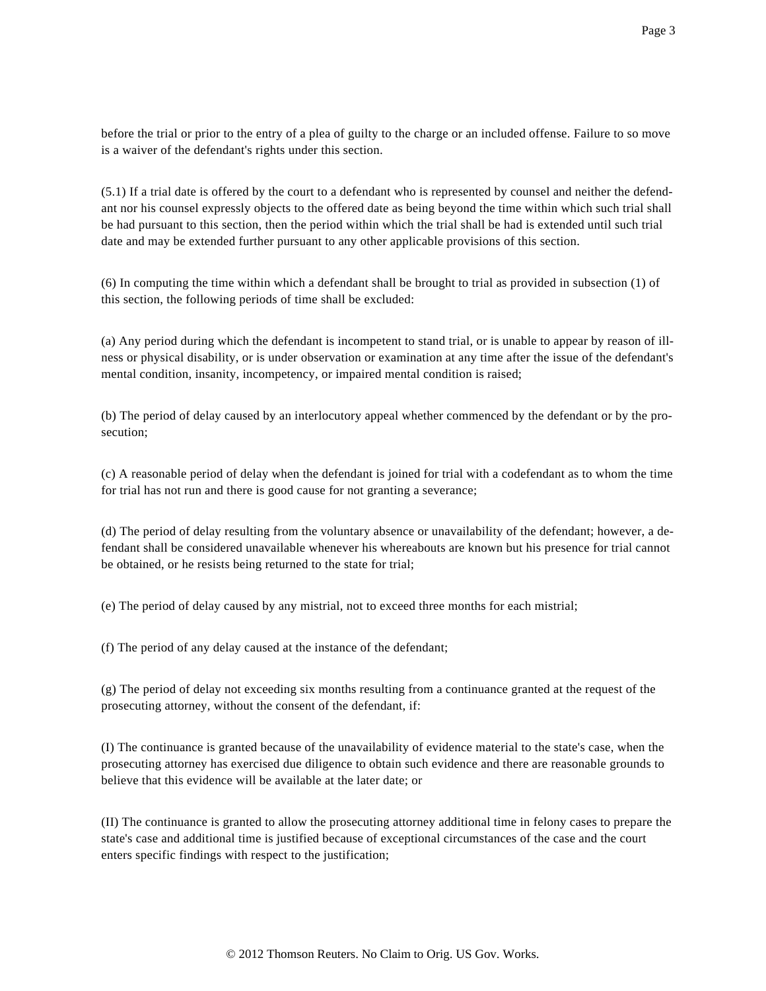before the trial or prior to the entry of a plea of guilty to the charge or an included offense. Failure to so move is a waiver of the defendant's rights under this section.

(5.1) If a trial date is offered by the court to a defendant who is represented by counsel and neither the defendant nor his counsel expressly objects to the offered date as being beyond the time within which such trial shall be had pursuant to this section, then the period within which the trial shall be had is extended until such trial date and may be extended further pursuant to any other applicable provisions of this section.

(6) In computing the time within which a defendant shall be brought to trial as provided in subsection (1) of this section, the following periods of time shall be excluded:

(a) Any period during which the defendant is incompetent to stand trial, or is unable to appear by reason of illness or physical disability, or is under observation or examination at any time after the issue of the defendant's mental condition, insanity, incompetency, or impaired mental condition is raised;

(b) The period of delay caused by an interlocutory appeal whether commenced by the defendant or by the prosecution;

(c) A reasonable period of delay when the defendant is joined for trial with a codefendant as to whom the time for trial has not run and there is good cause for not granting a severance;

(d) The period of delay resulting from the voluntary absence or unavailability of the defendant; however, a defendant shall be considered unavailable whenever his whereabouts are known but his presence for trial cannot be obtained, or he resists being returned to the state for trial;

(e) The period of delay caused by any mistrial, not to exceed three months for each mistrial;

(f) The period of any delay caused at the instance of the defendant;

(g) The period of delay not exceeding six months resulting from a continuance granted at the request of the prosecuting attorney, without the consent of the defendant, if:

(I) The continuance is granted because of the unavailability of evidence material to the state's case, when the prosecuting attorney has exercised due diligence to obtain such evidence and there are reasonable grounds to believe that this evidence will be available at the later date; or

(II) The continuance is granted to allow the prosecuting attorney additional time in felony cases to prepare the state's case and additional time is justified because of exceptional circumstances of the case and the court enters specific findings with respect to the justification;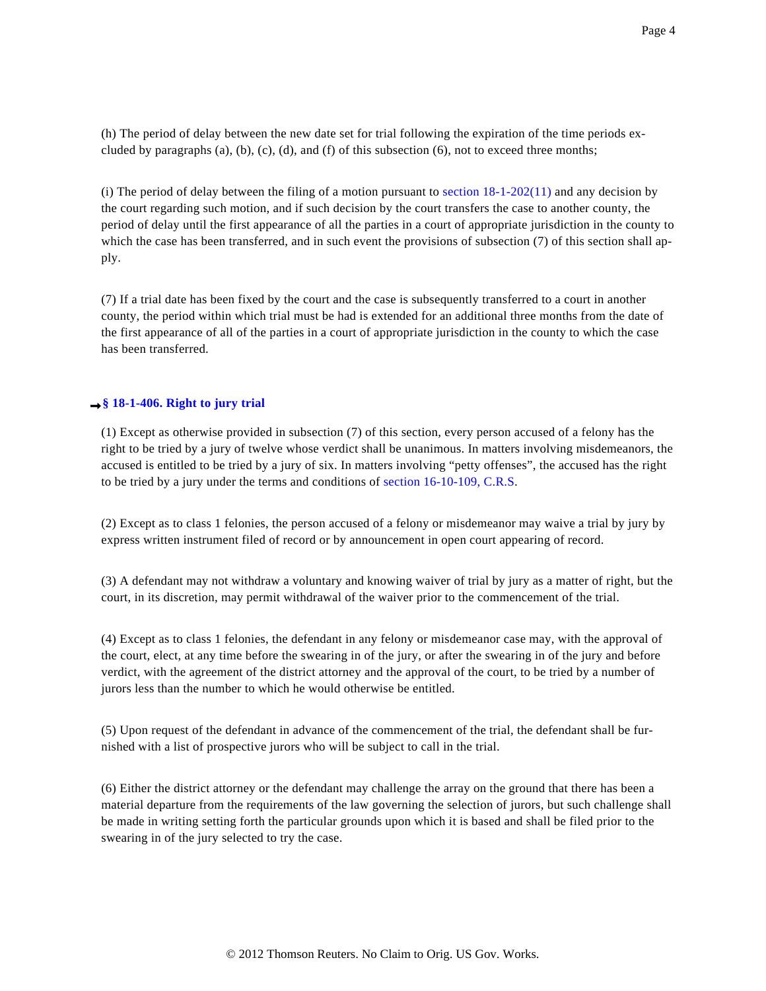(h) The period of delay between the new date set for trial following the expiration of the time periods excluded by paragraphs  $(a)$ ,  $(b)$ ,  $(c)$ ,  $(d)$ , and  $(f)$  of this subsection  $(6)$ , not to exceed three months;

(i) The period of delay between the filing of a motion pursuant to section  $18-1-202(11)$  and any decision by the court regarding such motion, and if such decision by the court transfers the case to another county, the period of delay until the first appearance of all the parties in a court of appropriate jurisdiction in the county to which the case has been transferred, and in such event the provisions of subsection (7) of this section shall apply.

(7) If a trial date has been fixed by the court and the case is subsequently transferred to a court in another county, the period within which trial must be had is extended for an additional three months from the date of the first appearance of all of the parties in a court of appropriate jurisdiction in the county to which the case has been transferred.

## **→ [§ 18-1-406. Right to jury trial](http://www.westlaw.com/Find/Default.wl?rs=dfa1.0&vr=2.0&DB=CO-ST-ANN&DocName=LK%28COSTS18-1-406%29&FindType=l)**

(1) Except as otherwise provided in subsection (7) of this section, every person accused of a felony has the right to be tried by a jury of twelve whose verdict shall be unanimous. In matters involving misdemeanors, the accused is entitled to be tried by a jury of six. In matters involving "petty offenses", the accused has the right to be tried by a jury under the terms and conditions of [section 16-10-109, C.R.S](http://www.westlaw.com/Find/Default.wl?rs=dfa1.0&vr=2.0&DB=1000517&DocName=COSTS16-10-109&FindType=L).

(2) Except as to class 1 felonies, the person accused of a felony or misdemeanor may waive a trial by jury by express written instrument filed of record or by announcement in open court appearing of record.

(3) A defendant may not withdraw a voluntary and knowing waiver of trial by jury as a matter of right, but the court, in its discretion, may permit withdrawal of the waiver prior to the commencement of the trial.

(4) Except as to class 1 felonies, the defendant in any felony or misdemeanor case may, with the approval of the court, elect, at any time before the swearing in of the jury, or after the swearing in of the jury and before verdict, with the agreement of the district attorney and the approval of the court, to be tried by a number of jurors less than the number to which he would otherwise be entitled.

(5) Upon request of the defendant in advance of the commencement of the trial, the defendant shall be furnished with a list of prospective jurors who will be subject to call in the trial.

(6) Either the district attorney or the defendant may challenge the array on the ground that there has been a material departure from the requirements of the law governing the selection of jurors, but such challenge shall be made in writing setting forth the particular grounds upon which it is based and shall be filed prior to the swearing in of the jury selected to try the case.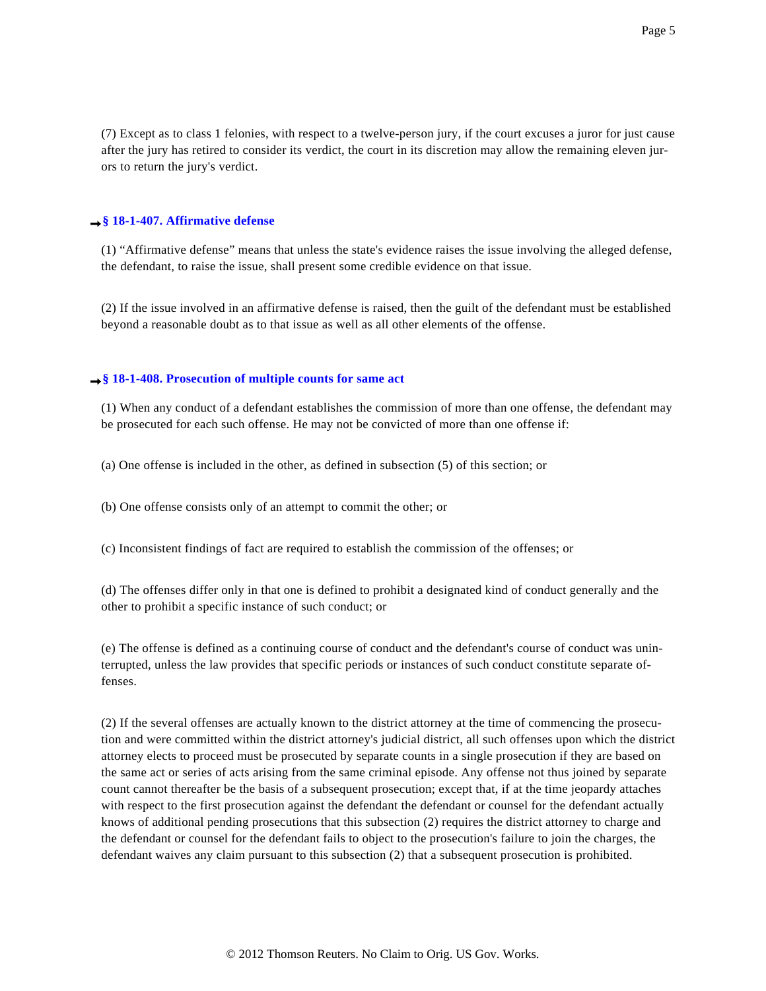(7) Except as to class 1 felonies, with respect to a twelve-person jury, if the court excuses a juror for just cause after the jury has retired to consider its verdict, the court in its discretion may allow the remaining eleven jurors to return the jury's verdict.

#### **[§ 18-1-407. Affirmative defense](http://www.westlaw.com/Find/Default.wl?rs=dfa1.0&vr=2.0&DB=CO-ST-ANN&DocName=LK%28COSTS18-1-407%29&FindType=l)**

(1) "Affirmative defense" means that unless the state's evidence raises the issue involving the alleged defense, the defendant, to raise the issue, shall present some credible evidence on that issue.

(2) If the issue involved in an affirmative defense is raised, then the guilt of the defendant must be established beyond a reasonable doubt as to that issue as well as all other elements of the offense.

#### **[§ 18-1-408. Prosecution of multiple counts for same act](http://www.westlaw.com/Find/Default.wl?rs=dfa1.0&vr=2.0&DB=CO-ST-ANN&DocName=LK%28COSTS18-1-408%29&FindType=l)**

(1) When any conduct of a defendant establishes the commission of more than one offense, the defendant may be prosecuted for each such offense. He may not be convicted of more than one offense if:

(a) One offense is included in the other, as defined in subsection (5) of this section; or

(b) One offense consists only of an attempt to commit the other; or

(c) Inconsistent findings of fact are required to establish the commission of the offenses; or

(d) The offenses differ only in that one is defined to prohibit a designated kind of conduct generally and the other to prohibit a specific instance of such conduct; or

(e) The offense is defined as a continuing course of conduct and the defendant's course of conduct was uninterrupted, unless the law provides that specific periods or instances of such conduct constitute separate offenses.

(2) If the several offenses are actually known to the district attorney at the time of commencing the prosecution and were committed within the district attorney's judicial district, all such offenses upon which the district attorney elects to proceed must be prosecuted by separate counts in a single prosecution if they are based on the same act or series of acts arising from the same criminal episode. Any offense not thus joined by separate count cannot thereafter be the basis of a subsequent prosecution; except that, if at the time jeopardy attaches with respect to the first prosecution against the defendant the defendant or counsel for the defendant actually knows of additional pending prosecutions that this subsection (2) requires the district attorney to charge and the defendant or counsel for the defendant fails to object to the prosecution's failure to join the charges, the defendant waives any claim pursuant to this subsection (2) that a subsequent prosecution is prohibited.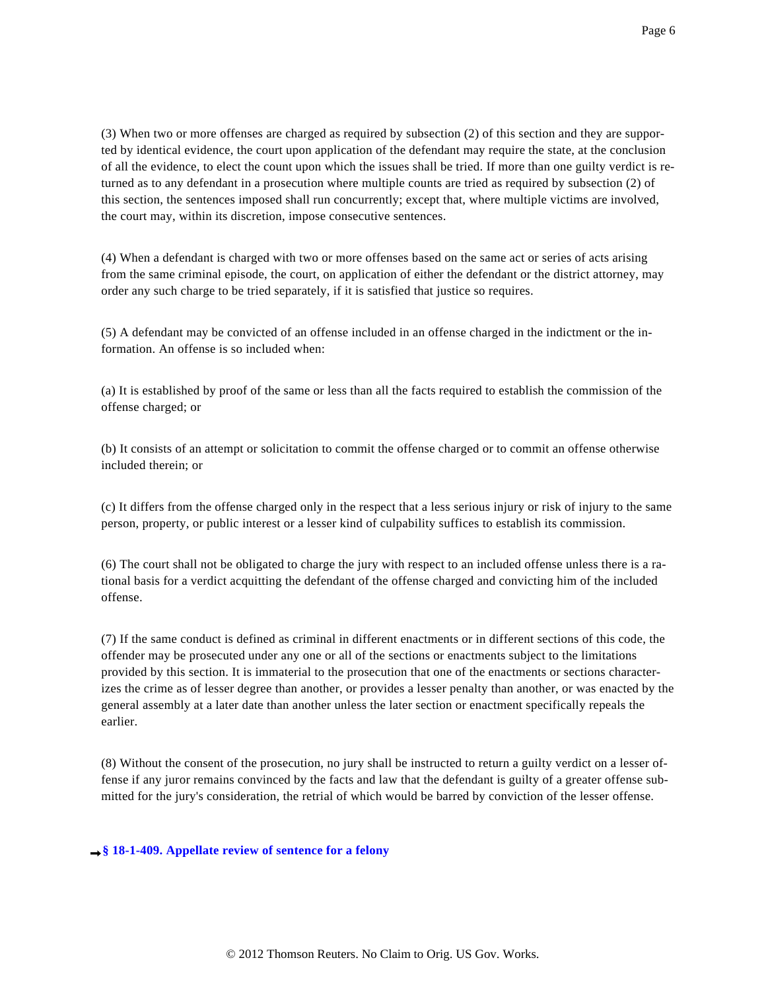(3) When two or more offenses are charged as required by subsection (2) of this section and they are supported by identical evidence, the court upon application of the defendant may require the state, at the conclusion of all the evidence, to elect the count upon which the issues shall be tried. If more than one guilty verdict is returned as to any defendant in a prosecution where multiple counts are tried as required by subsection (2) of this section, the sentences imposed shall run concurrently; except that, where multiple victims are involved, the court may, within its discretion, impose consecutive sentences.

(4) When a defendant is charged with two or more offenses based on the same act or series of acts arising from the same criminal episode, the court, on application of either the defendant or the district attorney, may order any such charge to be tried separately, if it is satisfied that justice so requires.

(5) A defendant may be convicted of an offense included in an offense charged in the indictment or the information. An offense is so included when:

(a) It is established by proof of the same or less than all the facts required to establish the commission of the offense charged; or

(b) It consists of an attempt or solicitation to commit the offense charged or to commit an offense otherwise included therein; or

(c) It differs from the offense charged only in the respect that a less serious injury or risk of injury to the same person, property, or public interest or a lesser kind of culpability suffices to establish its commission.

(6) The court shall not be obligated to charge the jury with respect to an included offense unless there is a rational basis for a verdict acquitting the defendant of the offense charged and convicting him of the included offense.

(7) If the same conduct is defined as criminal in different enactments or in different sections of this code, the offender may be prosecuted under any one or all of the sections or enactments subject to the limitations provided by this section. It is immaterial to the prosecution that one of the enactments or sections characterizes the crime as of lesser degree than another, or provides a lesser penalty than another, or was enacted by the general assembly at a later date than another unless the later section or enactment specifically repeals the earlier.

(8) Without the consent of the prosecution, no jury shall be instructed to return a guilty verdict on a lesser offense if any juror remains convinced by the facts and law that the defendant is guilty of a greater offense submitted for the jury's consideration, the retrial of which would be barred by conviction of the lesser offense.

## **[§ 18-1-409. Appellate review of sentence for a felony](http://www.westlaw.com/Find/Default.wl?rs=dfa1.0&vr=2.0&DB=CO-ST-ANN&DocName=LK%28COSTS18-1-409%29&FindType=l)**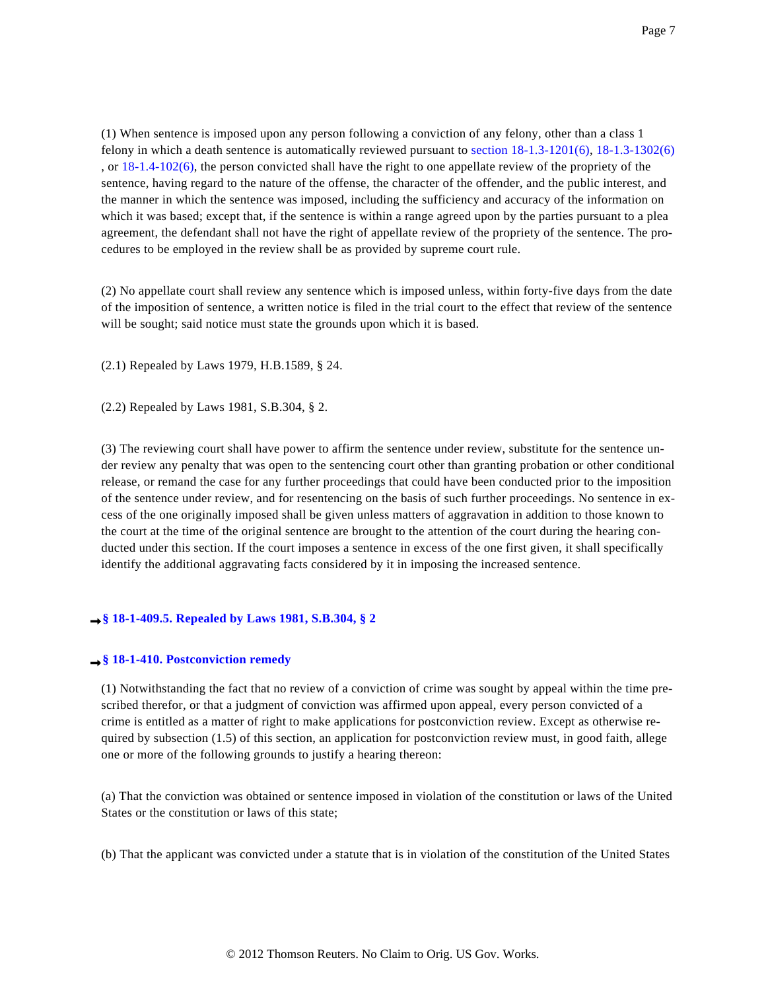(1) When sentence is imposed upon any person following a conviction of any felony, other than a class 1 felony in which a death sentence is automatically reviewed pursuant to [section 18-1.3-1201\(6\)](http://www.westlaw.com/Find/Default.wl?rs=dfa1.0&vr=2.0&DB=1000517&DocName=COSTS18-1.3-1201&FindType=L&ReferencePositionType=T&ReferencePosition=SP_1e9a0000fd6a3), [18-1.3-1302\(6\)](http://www.westlaw.com/Find/Default.wl?rs=dfa1.0&vr=2.0&DB=1000517&DocName=COSTS18-1.3-1302&FindType=L&ReferencePositionType=T&ReferencePosition=SP_1e9a0000fd6a3) , or  $18-1.4-102(6)$ , the person convicted shall have the right to one appellate review of the propriety of the sentence, having regard to the nature of the offense, the character of the offender, and the public interest, and the manner in which the sentence was imposed, including the sufficiency and accuracy of the information on which it was based; except that, if the sentence is within a range agreed upon by the parties pursuant to a plea agreement, the defendant shall not have the right of appellate review of the propriety of the sentence. The procedures to be employed in the review shall be as provided by supreme court rule.

(2) No appellate court shall review any sentence which is imposed unless, within forty-five days from the date of the imposition of sentence, a written notice is filed in the trial court to the effect that review of the sentence will be sought; said notice must state the grounds upon which it is based.

(2.1) Repealed by Laws 1979, H.B.1589, § 24.

(2.2) Repealed by Laws 1981, S.B.304, § 2.

(3) The reviewing court shall have power to affirm the sentence under review, substitute for the sentence under review any penalty that was open to the sentencing court other than granting probation or other conditional release, or remand the case for any further proceedings that could have been conducted prior to the imposition of the sentence under review, and for resentencing on the basis of such further proceedings. No sentence in excess of the one originally imposed shall be given unless matters of aggravation in addition to those known to the court at the time of the original sentence are brought to the attention of the court during the hearing conducted under this section. If the court imposes a sentence in excess of the one first given, it shall specifically identify the additional aggravating facts considered by it in imposing the increased sentence.

## **[§ 18-1-409.5. Repealed by Laws 1981, S.B.304, § 2](http://www.westlaw.com/Find/Default.wl?rs=dfa1.0&vr=2.0&DB=CO-ST-ANN&DocName=LK%28COSTS18-1-409.5%29&FindType=l)**

### **[§ 18-1-410. Postconviction remedy](http://www.westlaw.com/Find/Default.wl?rs=dfa1.0&vr=2.0&DB=CO-ST-ANN&DocName=LK%28COSTS18-1-410%29&FindType=l)**

(1) Notwithstanding the fact that no review of a conviction of crime was sought by appeal within the time prescribed therefor, or that a judgment of conviction was affirmed upon appeal, every person convicted of a crime is entitled as a matter of right to make applications for postconviction review. Except as otherwise required by subsection (1.5) of this section, an application for postconviction review must, in good faith, allege one or more of the following grounds to justify a hearing thereon:

(a) That the conviction was obtained or sentence imposed in violation of the constitution or laws of the United States or the constitution or laws of this state;

(b) That the applicant was convicted under a statute that is in violation of the constitution of the United States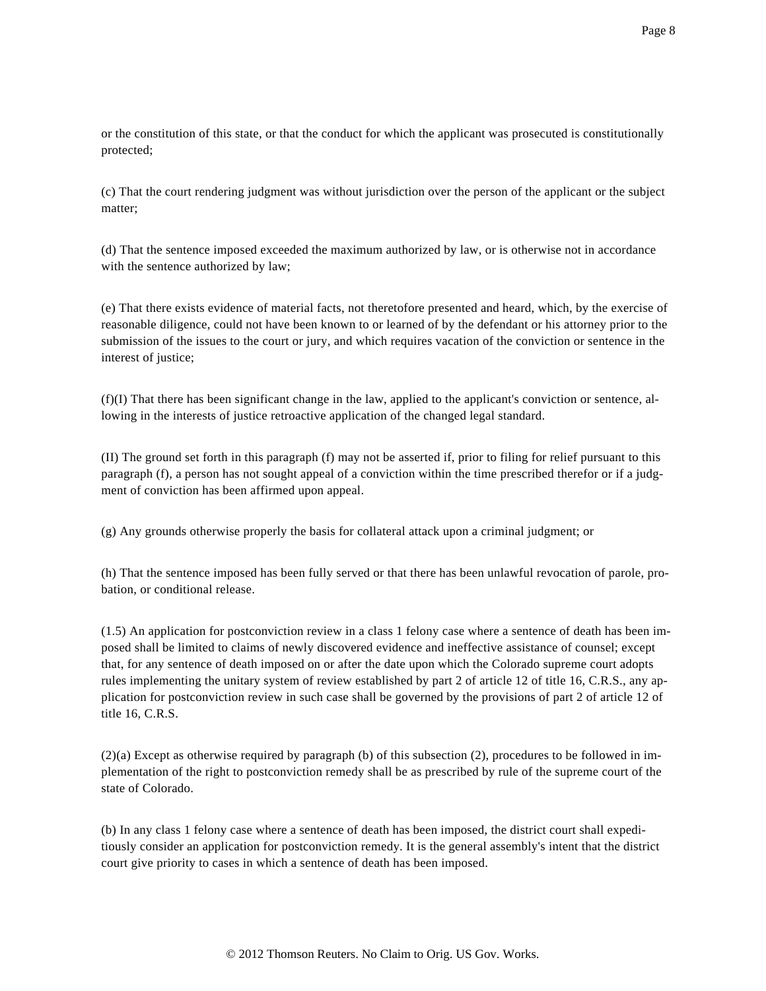or the constitution of this state, or that the conduct for which the applicant was prosecuted is constitutionally protected;

(c) That the court rendering judgment was without jurisdiction over the person of the applicant or the subject matter;

(d) That the sentence imposed exceeded the maximum authorized by law, or is otherwise not in accordance with the sentence authorized by law;

(e) That there exists evidence of material facts, not theretofore presented and heard, which, by the exercise of reasonable diligence, could not have been known to or learned of by the defendant or his attorney prior to the submission of the issues to the court or jury, and which requires vacation of the conviction or sentence in the interest of justice;

(f)(I) That there has been significant change in the law, applied to the applicant's conviction or sentence, allowing in the interests of justice retroactive application of the changed legal standard.

(II) The ground set forth in this paragraph (f) may not be asserted if, prior to filing for relief pursuant to this paragraph (f), a person has not sought appeal of a conviction within the time prescribed therefor or if a judgment of conviction has been affirmed upon appeal.

(g) Any grounds otherwise properly the basis for collateral attack upon a criminal judgment; or

(h) That the sentence imposed has been fully served or that there has been unlawful revocation of parole, probation, or conditional release.

(1.5) An application for postconviction review in a class 1 felony case where a sentence of death has been imposed shall be limited to claims of newly discovered evidence and ineffective assistance of counsel; except that, for any sentence of death imposed on or after the date upon which the Colorado supreme court adopts rules implementing the unitary system of review established by part 2 of article 12 of title 16, C.R.S., any application for postconviction review in such case shall be governed by the provisions of part 2 of article 12 of title 16, C.R.S.

(2)(a) Except as otherwise required by paragraph (b) of this subsection (2), procedures to be followed in implementation of the right to postconviction remedy shall be as prescribed by rule of the supreme court of the state of Colorado.

(b) In any class 1 felony case where a sentence of death has been imposed, the district court shall expeditiously consider an application for postconviction remedy. It is the general assembly's intent that the district court give priority to cases in which a sentence of death has been imposed.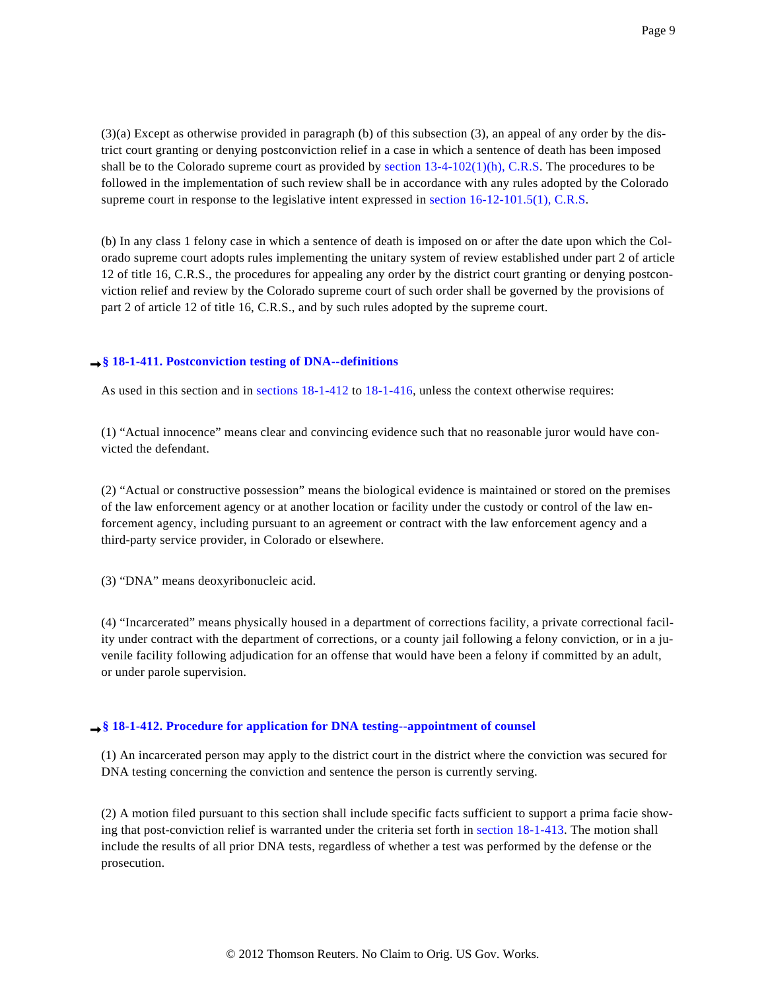(3)(a) Except as otherwise provided in paragraph (b) of this subsection (3), an appeal of any order by the district court granting or denying postconviction relief in a case in which a sentence of death has been imposed shall be to the Colorado supreme court as provided by section  $13-4-102(1)(h)$ , C.R.S. The procedures to be followed in the implementation of such review shall be in accordance with any rules adopted by the Colorado supreme court in response to the legislative intent expressed in [section 16-12-101.5\(1\), C.R.S](http://www.westlaw.com/Find/Default.wl?rs=dfa1.0&vr=2.0&DB=1000517&DocName=COSTS16-12-101.5&FindType=L&ReferencePositionType=T&ReferencePosition=SP_f1c50000821b0).

(b) In any class 1 felony case in which a sentence of death is imposed on or after the date upon which the Colorado supreme court adopts rules implementing the unitary system of review established under part 2 of article 12 of title 16, C.R.S., the procedures for appealing any order by the district court granting or denying postconviction relief and review by the Colorado supreme court of such order shall be governed by the provisions of part 2 of article 12 of title 16, C.R.S., and by such rules adopted by the supreme court.

# **[§ 18-1-411. Postconviction testing of DNA--definitions](http://www.westlaw.com/Find/Default.wl?rs=dfa1.0&vr=2.0&DB=CO-ST-ANN&DocName=LK%28COSTS18-1-411%29&FindType=l)**

As used in this section and in [sections 18-1-412](http://www.westlaw.com/Find/Default.wl?rs=dfa1.0&vr=2.0&DB=1000517&DocName=COSTS18-1-412&FindType=L) to [18-1-416](http://www.westlaw.com/Find/Default.wl?rs=dfa1.0&vr=2.0&DB=1000517&DocName=COSTS18-1-416&FindType=L), unless the context otherwise requires:

(1) "Actual innocence" means clear and convincing evidence such that no reasonable juror would have convicted the defendant.

(2) "Actual or constructive possession" means the biological evidence is maintained or stored on the premises of the law enforcement agency or at another location or facility under the custody or control of the law enforcement agency, including pursuant to an agreement or contract with the law enforcement agency and a third-party service provider, in Colorado or elsewhere.

(3) "DNA" means deoxyribonucleic acid.

(4) "Incarcerated" means physically housed in a department of corrections facility, a private correctional facility under contract with the department of corrections, or a county jail following a felony conviction, or in a juvenile facility following adjudication for an offense that would have been a felony if committed by an adult, or under parole supervision.

# **[§ 18-1-412. Procedure for application for DNA testing--appointment of counsel](http://www.westlaw.com/Find/Default.wl?rs=dfa1.0&vr=2.0&DB=CO-ST-ANN&DocName=LK%28COSTS18-1-412%29&FindType=l)**

(1) An incarcerated person may apply to the district court in the district where the conviction was secured for DNA testing concerning the conviction and sentence the person is currently serving.

(2) A motion filed pursuant to this section shall include specific facts sufficient to support a prima facie showing that post-conviction relief is warranted under the criteria set forth in [section 18-1-413](http://www.westlaw.com/Find/Default.wl?rs=dfa1.0&vr=2.0&DB=1000517&DocName=COSTS18-1-413&FindType=L). The motion shall include the results of all prior DNA tests, regardless of whether a test was performed by the defense or the prosecution.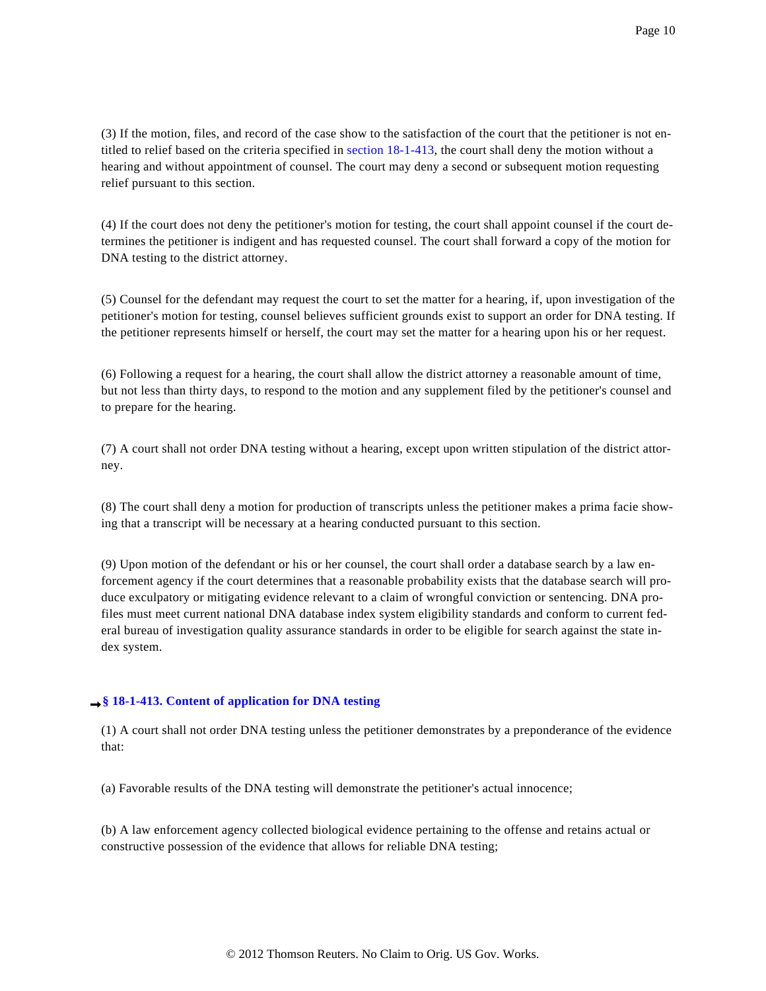(3) If the motion, files, and record of the case show to the satisfaction of the court that the petitioner is not entitled to relief based on the criteria specified in [section 18-1-413](http://www.westlaw.com/Find/Default.wl?rs=dfa1.0&vr=2.0&DB=1000517&DocName=COSTS18-1-413&FindType=L), the court shall deny the motion without a hearing and without appointment of counsel. The court may deny a second or subsequent motion requesting relief pursuant to this section.

(4) If the court does not deny the petitioner's motion for testing, the court shall appoint counsel if the court determines the petitioner is indigent and has requested counsel. The court shall forward a copy of the motion for DNA testing to the district attorney.

(5) Counsel for the defendant may request the court to set the matter for a hearing, if, upon investigation of the petitioner's motion for testing, counsel believes sufficient grounds exist to support an order for DNA testing. If the petitioner represents himself or herself, the court may set the matter for a hearing upon his or her request.

(6) Following a request for a hearing, the court shall allow the district attorney a reasonable amount of time, but not less than thirty days, to respond to the motion and any supplement filed by the petitioner's counsel and to prepare for the hearing.

(7) A court shall not order DNA testing without a hearing, except upon written stipulation of the district attorney.

(8) The court shall deny a motion for production of transcripts unless the petitioner makes a prima facie showing that a transcript will be necessary at a hearing conducted pursuant to this section.

(9) Upon motion of the defendant or his or her counsel, the court shall order a database search by a law enforcement agency if the court determines that a reasonable probability exists that the database search will produce exculpatory or mitigating evidence relevant to a claim of wrongful conviction or sentencing. DNA profiles must meet current national DNA database index system eligibility standards and conform to current federal bureau of investigation quality assurance standards in order to be eligible for search against the state index system.

# **[§ 18-1-413. Content of application for DNA testing](http://www.westlaw.com/Find/Default.wl?rs=dfa1.0&vr=2.0&DB=CO-ST-ANN&DocName=LK%28COSTS18-1-413%29&FindType=l)**

(1) A court shall not order DNA testing unless the petitioner demonstrates by a preponderance of the evidence that:

(a) Favorable results of the DNA testing will demonstrate the petitioner's actual innocence;

(b) A law enforcement agency collected biological evidence pertaining to the offense and retains actual or constructive possession of the evidence that allows for reliable DNA testing;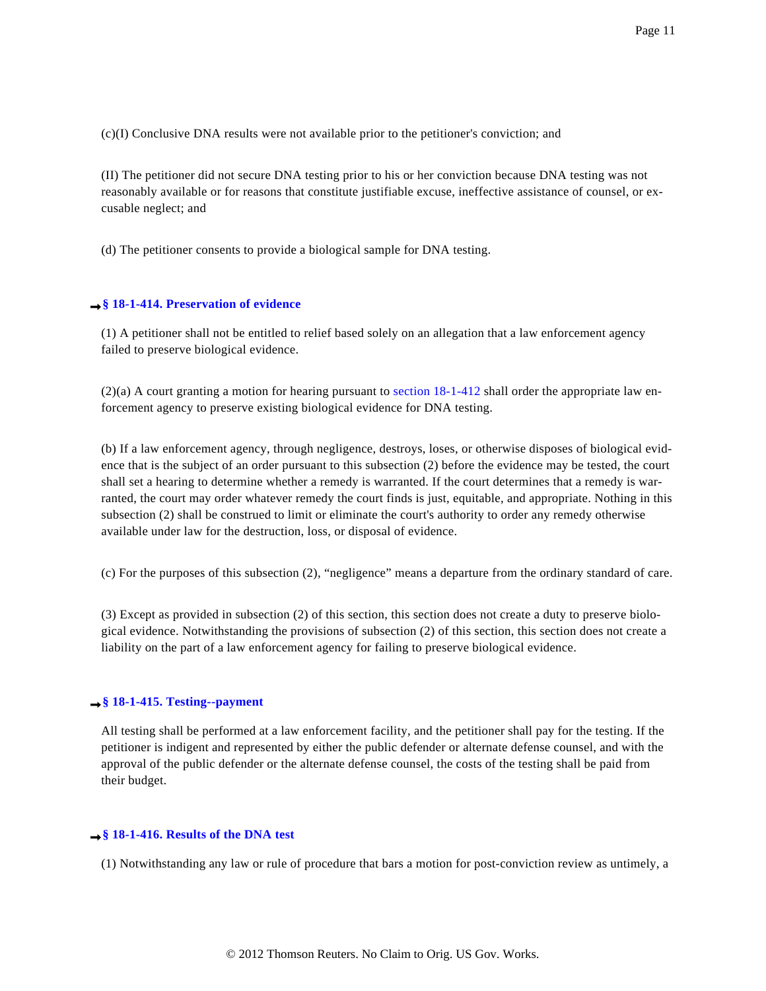(c)(I) Conclusive DNA results were not available prior to the petitioner's conviction; and

(II) The petitioner did not secure DNA testing prior to his or her conviction because DNA testing was not reasonably available or for reasons that constitute justifiable excuse, ineffective assistance of counsel, or excusable neglect; and

(d) The petitioner consents to provide a biological sample for DNA testing.

### **[§ 18-1-414. Preservation of evidence](http://www.westlaw.com/Find/Default.wl?rs=dfa1.0&vr=2.0&DB=CO-ST-ANN&DocName=LK%28COSTS18-1-414%29&FindType=l)**

(1) A petitioner shall not be entitled to relief based solely on an allegation that a law enforcement agency failed to preserve biological evidence.

(2)(a) A court granting a motion for hearing pursuant to [section 18-1-412](http://www.westlaw.com/Find/Default.wl?rs=dfa1.0&vr=2.0&DB=1000517&DocName=COSTS18-1-412&FindType=L) shall order the appropriate law enforcement agency to preserve existing biological evidence for DNA testing.

(b) If a law enforcement agency, through negligence, destroys, loses, or otherwise disposes of biological evidence that is the subject of an order pursuant to this subsection (2) before the evidence may be tested, the court shall set a hearing to determine whether a remedy is warranted. If the court determines that a remedy is warranted, the court may order whatever remedy the court finds is just, equitable, and appropriate. Nothing in this subsection (2) shall be construed to limit or eliminate the court's authority to order any remedy otherwise available under law for the destruction, loss, or disposal of evidence.

(c) For the purposes of this subsection (2), "negligence" means a departure from the ordinary standard of care.

(3) Except as provided in subsection (2) of this section, this section does not create a duty to preserve biological evidence. Notwithstanding the provisions of subsection (2) of this section, this section does not create a liability on the part of a law enforcement agency for failing to preserve biological evidence.

# **[§ 18-1-415. Testing--payment](http://www.westlaw.com/Find/Default.wl?rs=dfa1.0&vr=2.0&DB=CO-ST-ANN&DocName=LK%28COSTS18-1-415%29&FindType=l)**

All testing shall be performed at a law enforcement facility, and the petitioner shall pay for the testing. If the petitioner is indigent and represented by either the public defender or alternate defense counsel, and with the approval of the public defender or the alternate defense counsel, the costs of the testing shall be paid from their budget.

## **[§ 18-1-416. Results of the DNA test](http://www.westlaw.com/Find/Default.wl?rs=dfa1.0&vr=2.0&DB=CO-ST-ANN&DocName=LK%28COSTS18-1-416%29&FindType=l)**

(1) Notwithstanding any law or rule of procedure that bars a motion for post-conviction review as untimely, a